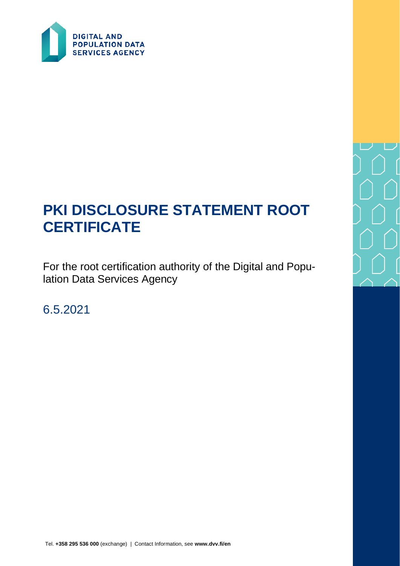

# **PKI DISCLOSURE STATEMENT ROOT CERTIFICATE**

For the root certification authority of the Digital and Population Data Services Agency

6.5.2021

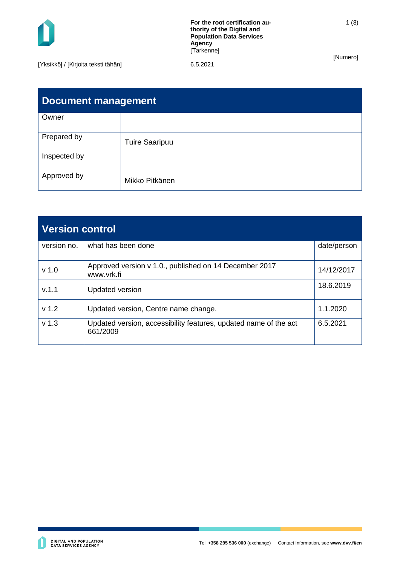

| <b>Document management</b> |                       |  |  |  |
|----------------------------|-----------------------|--|--|--|
| Owner                      |                       |  |  |  |
| Prepared by                | <b>Tuire Saaripuu</b> |  |  |  |
| Inspected by               |                       |  |  |  |
| Approved by                | Mikko Pitkänen        |  |  |  |

| <b>Version control</b> |                                                                              |             |  |  |
|------------------------|------------------------------------------------------------------------------|-------------|--|--|
| version no.            | what has been done                                                           | date/person |  |  |
| v <sub>1.0</sub>       | Approved version v 1.0., published on 14 December 2017<br>www.vrk.fi         | 14/12/2017  |  |  |
| V.1.1                  | <b>Updated version</b>                                                       | 18.6.2019   |  |  |
| v <sub>1.2</sub>       | Updated version, Centre name change.                                         | 1.1.2020    |  |  |
| v <sub>1.3</sub>       | Updated version, accessibility features, updated name of the act<br>661/2009 | 6.5.2021    |  |  |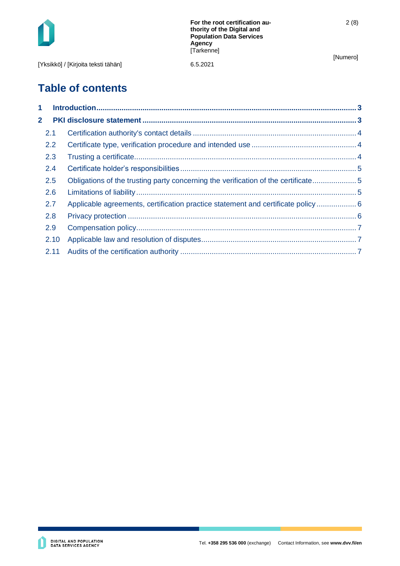

[Yksikkö] / [Kirjoita teksti tähän] 6.5.2021

2 (8)

# **Table of contents**

| 1                       |      |                                                                                   |  |
|-------------------------|------|-----------------------------------------------------------------------------------|--|
| $\overline{\mathbf{2}}$ |      |                                                                                   |  |
|                         | 2.1  |                                                                                   |  |
|                         | 2.2  |                                                                                   |  |
|                         | 2.3  |                                                                                   |  |
|                         | 2.4  |                                                                                   |  |
|                         | 2.5  | Obligations of the trusting party concerning the verification of the certificate5 |  |
|                         | 2.6  |                                                                                   |  |
|                         | 2.7  | Applicable agreements, certification practice statement and certificate policy 6  |  |
|                         | 2.8  |                                                                                   |  |
|                         | 2.9  |                                                                                   |  |
|                         | 2.10 |                                                                                   |  |
|                         | 2.11 |                                                                                   |  |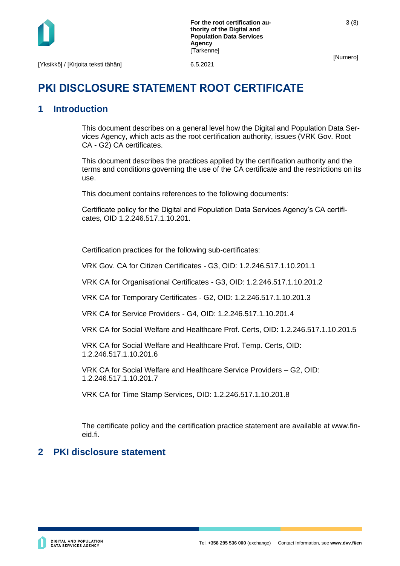

3 (8)

# **PKI DISCLOSURE STATEMENT ROOT CERTIFICATE**

# <span id="page-3-0"></span>**1 Introduction**

This document describes on a general level how the Digital and Population Data Services Agency, which acts as the root certification authority, issues (VRK Gov. Root CA - G2) CA certificates.

This document describes the practices applied by the certification authority and the terms and conditions governing the use of the CA certificate and the restrictions on its use.

This document contains references to the following documents:

Certificate policy for the Digital and Population Data Services Agency's CA certificates, OID 1.2.246.517.1.10.201.

Certification practices for the following sub-certificates:

VRK Gov. CA for Citizen Certificates - G3, OID: 1.2.246.517.1.10.201.1

VRK CA for Organisational Certificates - G3, OID: 1.2.246.517.1.10.201.2

VRK CA for Temporary Certificates - G2, OID: 1.2.246.517.1.10.201.3

VRK CA for Service Providers - G4, OID: 1.2.246.517.1.10.201.4

VRK CA for Social Welfare and Healthcare Prof. Certs, OID: 1.2.246.517.1.10.201.5

VRK CA for Social Welfare and Healthcare Prof. Temp. Certs, OID: 1.2.246.517.1.10.201.6

VRK CA for Social Welfare and Healthcare Service Providers – G2, OID: 1.2.246.517.1.10.201.7

VRK CA for Time Stamp Services, OID: 1.2.246.517.1.10.201.8

The certificate policy and the certification practice statement are available at www.fineid.fi.

# <span id="page-3-1"></span>**2 PKI disclosure statement**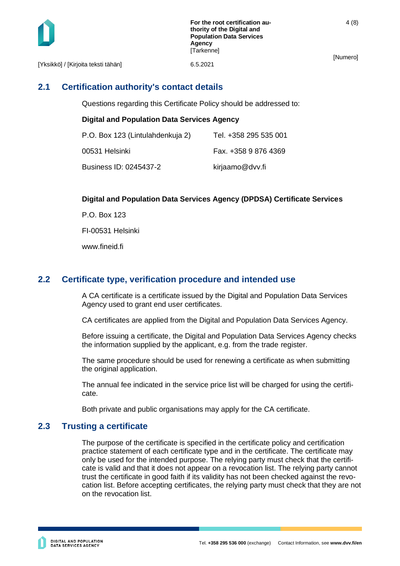

[Yksikkö] / [Kirjoita teksti tähän] 6.5.2021

# <span id="page-4-0"></span>**2.1 Certification authority's contact details**

Questions regarding this Certificate Policy should be addressed to:

#### **Digital and Population Data Services Agency**

| P.O. Box 123 (Lintulahdenkuja 2) | Tel. +358 295 535 001 |
|----------------------------------|-----------------------|
| 00531 Helsinki                   | Fax. +358 9 876 4369  |
| Business ID: 0245437-2           | kirjaamo@dvv.fi       |

#### **Digital and Population Data Services Agency (DPDSA) Certificate Services**

P.O. Box 123 FI-00531 Helsinki www.fineid.fi

#### <span id="page-4-1"></span>**2.2 Certificate type, verification procedure and intended use**

A CA certificate is a certificate issued by the Digital and Population Data Services Agency used to grant end user certificates.

CA certificates are applied from the Digital and Population Data Services Agency.

Before issuing a certificate, the Digital and Population Data Services Agency checks the information supplied by the applicant, e.g. from the trade register.

The same procedure should be used for renewing a certificate as when submitting the original application.

The annual fee indicated in the service price list will be charged for using the certificate.

Both private and public organisations may apply for the CA certificate.

#### <span id="page-4-2"></span>**2.3 Trusting a certificate**

The purpose of the certificate is specified in the certificate policy and certification practice statement of each certificate type and in the certificate. The certificate may only be used for the intended purpose. The relying party must check that the certificate is valid and that it does not appear on a revocation list. The relying party cannot trust the certificate in good faith if its validity has not been checked against the revocation list. Before accepting certificates, the relying party must check that they are not on the revocation list.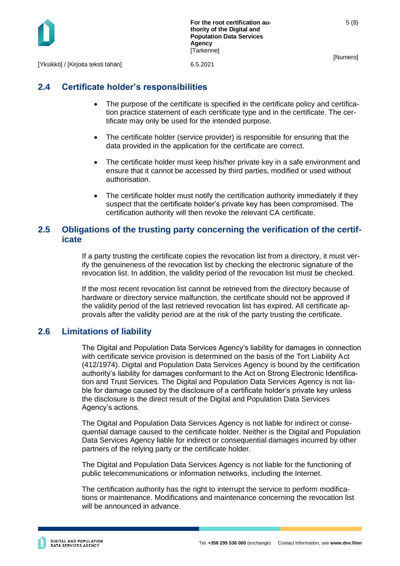

5 (8)

[Yksikkö] / [Kirjoita teksti tähän] 6.5.2021

# <span id="page-5-0"></span>**2.4 Certificate holder's responsibilities**

- The purpose of the certificate is specified in the certificate policy and certification practice statement of each certificate type and in the certificate. The certificate may only be used for the intended purpose.
- The certificate holder (service provider) is responsible for ensuring that the data provided in the application for the certificate are correct.
- The certificate holder must keep his/her private key in a safe environment and ensure that it cannot be accessed by third parties, modified or used without authorisation.
- The certificate holder must notify the certification authority immediately if they suspect that the certificate holder's private key has been compromised. The certification authority will then revoke the relevant CA certificate.

#### <span id="page-5-1"></span>**2.5 Obligations of the trusting party concerning the verification of the certificate**

If a party trusting the certificate copies the revocation list from a directory, it must verify the genuineness of the revocation list by checking the electronic signature of the revocation list. In addition, the validity period of the revocation list must be checked.

If the most recent revocation list cannot be retrieved from the directory because of hardware or directory service malfunction, the certificate should not be approved if the validity period of the last retrieved revocation list has expired. All certificate approvals after the validity period are at the risk of the party trusting the certificate.

## <span id="page-5-2"></span>**2.6 Limitations of liability**

The Digital and Population Data Services Agency's liability for damages in connection with certificate service provision is determined on the basis of the Tort Liability Act (412/1974). Digital and Population Data Services Agency is bound by the certification authority's liability for damages conformant to the Act on Strong Electronic Identification and Trust Services. The Digital and Population Data Services Agency is not liable for damage caused by the disclosure of a certificate holder's private key unless the disclosure is the direct result of the Digital and Population Data Services Agency's actions.

The Digital and Population Data Services Agency is not liable for indirect or consequential damage caused to the certificate holder. Neither is the Digital and Population Data Services Agency liable for indirect or consequential damages incurred by other partners of the relying party or the certificate holder.

The Digital and Population Data Services Agency is not liable for the functioning of public telecommunications or information networks, including the Internet.

The certification authority has the right to interrupt the service to perform modifications or maintenance. Modifications and maintenance concerning the revocation list will be announced in advance.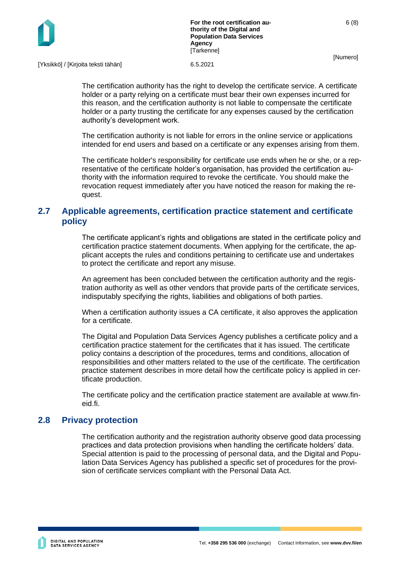

[Yksikkö] / [Kirjoita teksti tähän] 6.5.2021

The certification authority has the right to develop the certificate service. A certificate holder or a party relying on a certificate must bear their own expenses incurred for this reason, and the certification authority is not liable to compensate the certificate holder or a party trusting the certificate for any expenses caused by the certification authority's development work.

The certification authority is not liable for errors in the online service or applications intended for end users and based on a certificate or any expenses arising from them.

The certificate holder's responsibility for certificate use ends when he or she, or a representative of the certificate holder's organisation, has provided the certification authority with the information required to revoke the certificate. You should make the revocation request immediately after you have noticed the reason for making the request.

# <span id="page-6-0"></span>**2.7 Applicable agreements, certification practice statement and certificate policy**

The certificate applicant's rights and obligations are stated in the certificate policy and certification practice statement documents. When applying for the certificate, the applicant accepts the rules and conditions pertaining to certificate use and undertakes to protect the certificate and report any misuse.

An agreement has been concluded between the certification authority and the registration authority as well as other vendors that provide parts of the certificate services, indisputably specifying the rights, liabilities and obligations of both parties.

When a certification authority issues a CA certificate, it also approves the application for a certificate.

The Digital and Population Data Services Agency publishes a certificate policy and a certification practice statement for the certificates that it has issued. The certificate policy contains a description of the procedures, terms and conditions, allocation of responsibilities and other matters related to the use of the certificate. The certification practice statement describes in more detail how the certificate policy is applied in certificate production.

The certificate policy and the certification practice statement are available at www.fineid.fi.

## <span id="page-6-1"></span>**2.8 Privacy protection**

The certification authority and the registration authority observe good data processing practices and data protection provisions when handling the certificate holders' data. Special attention is paid to the processing of personal data, and the Digital and Population Data Services Agency has published a specific set of procedures for the provision of certificate services compliant with the Personal Data Act.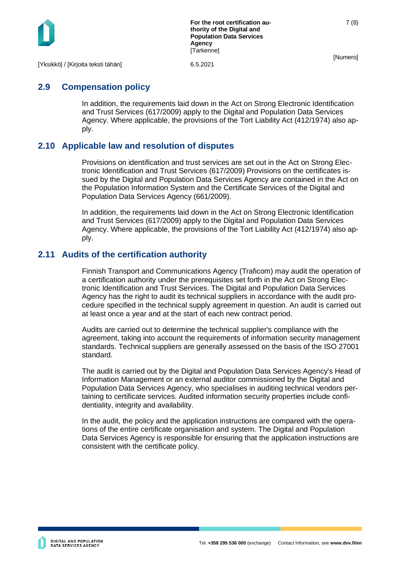

7 (8)

[Yksikkö] / [Kirjoita teksti tähän] 6.5.2021

# <span id="page-7-0"></span>**2.9 Compensation policy**

In addition, the requirements laid down in the Act on Strong Electronic Identification and Trust Services (617/2009) apply to the Digital and Population Data Services Agency. Where applicable, the provisions of the Tort Liability Act (412/1974) also apply.

## <span id="page-7-1"></span>**2.10 Applicable law and resolution of disputes**

Provisions on identification and trust services are set out in the Act on Strong Electronic Identification and Trust Services (617/2009) Provisions on the certificates issued by the Digital and Population Data Services Agency are contained in the Act on the Population Information System and the Certificate Services of the Digital and Population Data Services Agency (661/2009).

In addition, the requirements laid down in the Act on Strong Electronic Identification and Trust Services (617/2009) apply to the Digital and Population Data Services Agency. Where applicable, the provisions of the Tort Liability Act (412/1974) also apply.

#### <span id="page-7-2"></span>**2.11 Audits of the certification authority**

Finnish Transport and Communications Agency (Traficom) may audit the operation of a certification authority under the prerequisites set forth in the Act on Strong Electronic Identification and Trust Services. The Digital and Population Data Services Agency has the right to audit its technical suppliers in accordance with the audit procedure specified in the technical supply agreement in question. An audit is carried out at least once a year and at the start of each new contract period.

Audits are carried out to determine the technical supplier's compliance with the agreement, taking into account the requirements of information security management standards. Technical suppliers are generally assessed on the basis of the ISO 27001 standard.

The audit is carried out by the Digital and Population Data Services Agency's Head of Information Management or an external auditor commissioned by the Digital and Population Data Services Agency, who specialises in auditing technical vendors pertaining to certificate services. Audited information security properties include confidentiality, integrity and availability.

In the audit, the policy and the application instructions are compared with the operations of the entire certificate organisation and system. The Digital and Population Data Services Agency is responsible for ensuring that the application instructions are consistent with the certificate policy.